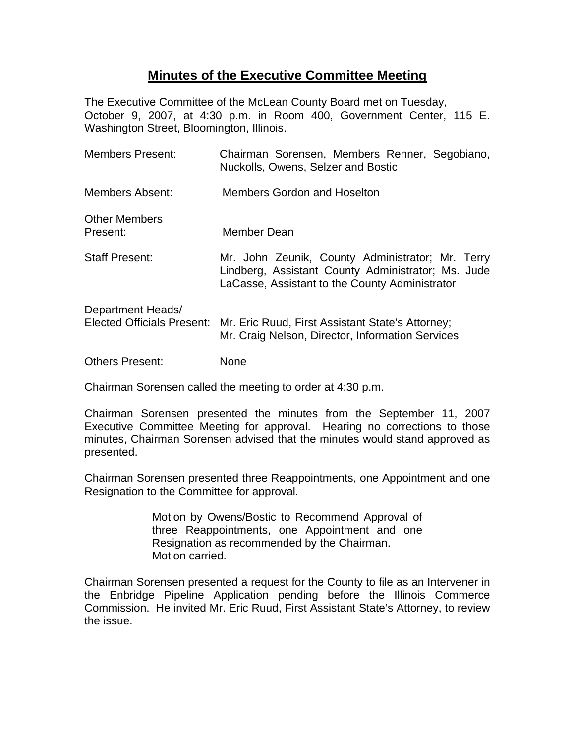## **Minutes of the Executive Committee Meeting**

The Executive Committee of the McLean County Board met on Tuesday, October 9, 2007, at 4:30 p.m. in Room 400, Government Center, 115 E. Washington Street, Bloomington, Illinois.

| <b>Members Present:</b>                         | Chairman Sorensen, Members Renner, Segobiano,<br>Nuckolls, Owens, Selzer and Bostic                                                                      |
|-------------------------------------------------|----------------------------------------------------------------------------------------------------------------------------------------------------------|
| Members Absent:                                 | Members Gordon and Hoselton                                                                                                                              |
| <b>Other Members</b><br>Present:                | Member Dean                                                                                                                                              |
| <b>Staff Present:</b>                           | Mr. John Zeunik, County Administrator; Mr. Terry<br>Lindberg, Assistant County Administrator; Ms. Jude<br>LaCasse, Assistant to the County Administrator |
| Department Heads/<br>Elected Officials Present: | Mr. Eric Ruud, First Assistant State's Attorney;<br>Mr. Craig Nelson, Director, Information Services                                                     |
| <b>Others Present:</b>                          | None                                                                                                                                                     |

Chairman Sorensen called the meeting to order at 4:30 p.m.

Chairman Sorensen presented the minutes from the September 11, 2007 Executive Committee Meeting for approval. Hearing no corrections to those minutes, Chairman Sorensen advised that the minutes would stand approved as presented.

Chairman Sorensen presented three Reappointments, one Appointment and one Resignation to the Committee for approval.

> Motion by Owens/Bostic to Recommend Approval of three Reappointments, one Appointment and one Resignation as recommended by the Chairman. Motion carried.

Chairman Sorensen presented a request for the County to file as an Intervener in the Enbridge Pipeline Application pending before the Illinois Commerce Commission. He invited Mr. Eric Ruud, First Assistant State's Attorney, to review the issue.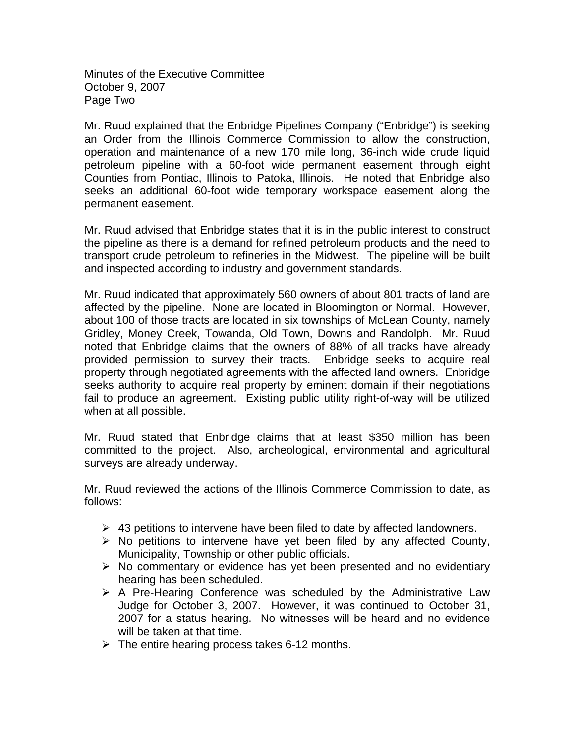Minutes of the Executive Committee October 9, 2007 Page Two

Mr. Ruud explained that the Enbridge Pipelines Company ("Enbridge") is seeking an Order from the Illinois Commerce Commission to allow the construction, operation and maintenance of a new 170 mile long, 36-inch wide crude liquid petroleum pipeline with a 60-foot wide permanent easement through eight Counties from Pontiac, Illinois to Patoka, Illinois. He noted that Enbridge also seeks an additional 60-foot wide temporary workspace easement along the permanent easement.

Mr. Ruud advised that Enbridge states that it is in the public interest to construct the pipeline as there is a demand for refined petroleum products and the need to transport crude petroleum to refineries in the Midwest. The pipeline will be built and inspected according to industry and government standards.

Mr. Ruud indicated that approximately 560 owners of about 801 tracts of land are affected by the pipeline. None are located in Bloomington or Normal. However, about 100 of those tracts are located in six townships of McLean County, namely Gridley, Money Creek, Towanda, Old Town, Downs and Randolph. Mr. Ruud noted that Enbridge claims that the owners of 88% of all tracks have already provided permission to survey their tracts. Enbridge seeks to acquire real property through negotiated agreements with the affected land owners. Enbridge seeks authority to acquire real property by eminent domain if their negotiations fail to produce an agreement. Existing public utility right-of-way will be utilized when at all possible.

Mr. Ruud stated that Enbridge claims that at least \$350 million has been committed to the project. Also, archeological, environmental and agricultural surveys are already underway.

Mr. Ruud reviewed the actions of the Illinois Commerce Commission to date, as follows:

- $\triangleright$  43 petitions to intervene have been filed to date by affected landowners.
- $\triangleright$  No petitions to intervene have yet been filed by any affected County, Municipality, Township or other public officials.
- $\triangleright$  No commentary or evidence has yet been presented and no evidentiary hearing has been scheduled.
- $\triangleright$  A Pre-Hearing Conference was scheduled by the Administrative Law Judge for October 3, 2007. However, it was continued to October 31, 2007 for a status hearing. No witnesses will be heard and no evidence will be taken at that time.
- $\triangleright$  The entire hearing process takes 6-12 months.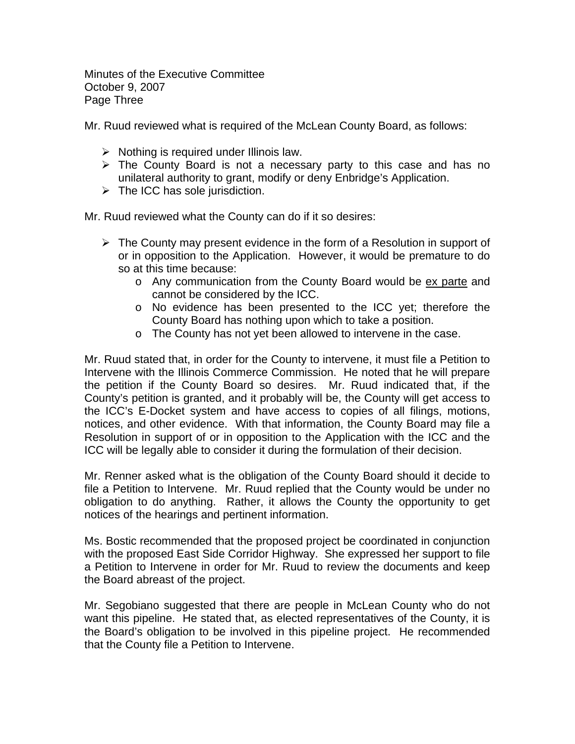Minutes of the Executive Committee October 9, 2007 Page Three

Mr. Ruud reviewed what is required of the McLean County Board, as follows:

- $\triangleright$  Nothing is required under Illinois law.
- $\triangleright$  The County Board is not a necessary party to this case and has no unilateral authority to grant, modify or deny Enbridge's Application.
- $\triangleright$  The ICC has sole jurisdiction.

Mr. Ruud reviewed what the County can do if it so desires:

- $\triangleright$  The County may present evidence in the form of a Resolution in support of or in opposition to the Application. However, it would be premature to do so at this time because:
	- o Any communication from the County Board would be ex parte and cannot be considered by the ICC.
	- o No evidence has been presented to the ICC yet; therefore the County Board has nothing upon which to take a position.
	- o The County has not yet been allowed to intervene in the case.

Mr. Ruud stated that, in order for the County to intervene, it must file a Petition to Intervene with the Illinois Commerce Commission. He noted that he will prepare the petition if the County Board so desires. Mr. Ruud indicated that, if the County's petition is granted, and it probably will be, the County will get access to the ICC's E-Docket system and have access to copies of all filings, motions, notices, and other evidence. With that information, the County Board may file a Resolution in support of or in opposition to the Application with the ICC and the ICC will be legally able to consider it during the formulation of their decision.

Mr. Renner asked what is the obligation of the County Board should it decide to file a Petition to Intervene. Mr. Ruud replied that the County would be under no obligation to do anything. Rather, it allows the County the opportunity to get notices of the hearings and pertinent information.

Ms. Bostic recommended that the proposed project be coordinated in conjunction with the proposed East Side Corridor Highway. She expressed her support to file a Petition to Intervene in order for Mr. Ruud to review the documents and keep the Board abreast of the project.

Mr. Segobiano suggested that there are people in McLean County who do not want this pipeline. He stated that, as elected representatives of the County, it is the Board's obligation to be involved in this pipeline project. He recommended that the County file a Petition to Intervene.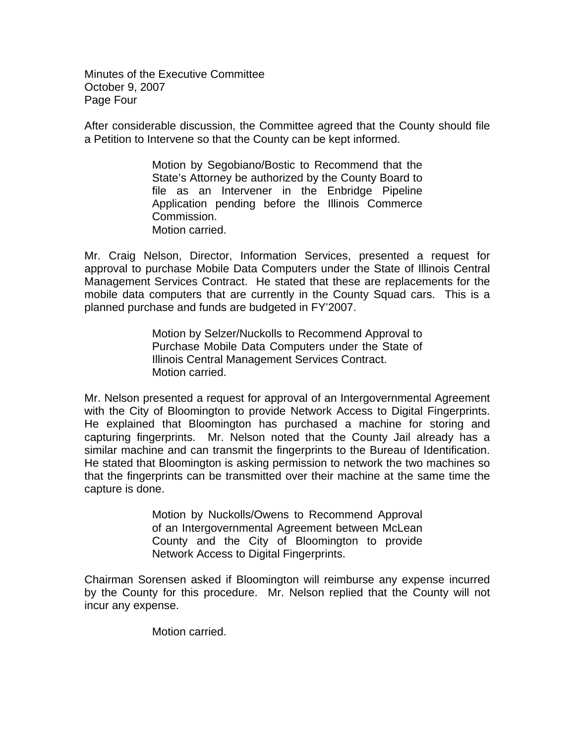Minutes of the Executive Committee October 9, 2007 Page Four

After considerable discussion, the Committee agreed that the County should file a Petition to Intervene so that the County can be kept informed.

> Motion by Segobiano/Bostic to Recommend that the State's Attorney be authorized by the County Board to file as an Intervener in the Enbridge Pipeline Application pending before the Illinois Commerce Commission. Motion carried.

Mr. Craig Nelson, Director, Information Services, presented a request for approval to purchase Mobile Data Computers under the State of Illinois Central Management Services Contract. He stated that these are replacements for the mobile data computers that are currently in the County Squad cars. This is a planned purchase and funds are budgeted in FY'2007.

> Motion by Selzer/Nuckolls to Recommend Approval to Purchase Mobile Data Computers under the State of Illinois Central Management Services Contract. Motion carried.

Mr. Nelson presented a request for approval of an Intergovernmental Agreement with the City of Bloomington to provide Network Access to Digital Fingerprints. He explained that Bloomington has purchased a machine for storing and capturing fingerprints. Mr. Nelson noted that the County Jail already has a similar machine and can transmit the fingerprints to the Bureau of Identification. He stated that Bloomington is asking permission to network the two machines so that the fingerprints can be transmitted over their machine at the same time the capture is done.

> Motion by Nuckolls/Owens to Recommend Approval of an Intergovernmental Agreement between McLean County and the City of Bloomington to provide Network Access to Digital Fingerprints.

Chairman Sorensen asked if Bloomington will reimburse any expense incurred by the County for this procedure. Mr. Nelson replied that the County will not incur any expense.

Motion carried.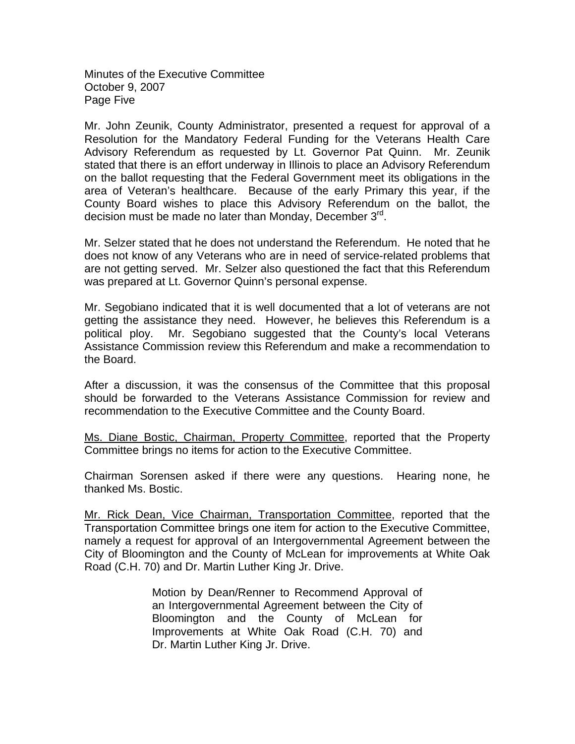Minutes of the Executive Committee October 9, 2007 Page Five

Mr. John Zeunik, County Administrator, presented a request for approval of a Resolution for the Mandatory Federal Funding for the Veterans Health Care Advisory Referendum as requested by Lt. Governor Pat Quinn. Mr. Zeunik stated that there is an effort underway in Illinois to place an Advisory Referendum on the ballot requesting that the Federal Government meet its obligations in the area of Veteran's healthcare. Because of the early Primary this year, if the County Board wishes to place this Advisory Referendum on the ballot, the decision must be made no later than Monday, December 3<sup>rd</sup>.

Mr. Selzer stated that he does not understand the Referendum. He noted that he does not know of any Veterans who are in need of service-related problems that are not getting served. Mr. Selzer also questioned the fact that this Referendum was prepared at Lt. Governor Quinn's personal expense.

Mr. Segobiano indicated that it is well documented that a lot of veterans are not getting the assistance they need. However, he believes this Referendum is a political ploy. Mr. Segobiano suggested that the County's local Veterans Assistance Commission review this Referendum and make a recommendation to the Board.

After a discussion, it was the consensus of the Committee that this proposal should be forwarded to the Veterans Assistance Commission for review and recommendation to the Executive Committee and the County Board.

Ms. Diane Bostic, Chairman, Property Committee, reported that the Property Committee brings no items for action to the Executive Committee.

Chairman Sorensen asked if there were any questions. Hearing none, he thanked Ms. Bostic.

Mr. Rick Dean, Vice Chairman, Transportation Committee, reported that the Transportation Committee brings one item for action to the Executive Committee, namely a request for approval of an Intergovernmental Agreement between the City of Bloomington and the County of McLean for improvements at White Oak Road (C.H. 70) and Dr. Martin Luther King Jr. Drive.

> Motion by Dean/Renner to Recommend Approval of an Intergovernmental Agreement between the City of Bloomington and the County of McLean for Improvements at White Oak Road (C.H. 70) and Dr. Martin Luther King Jr. Drive.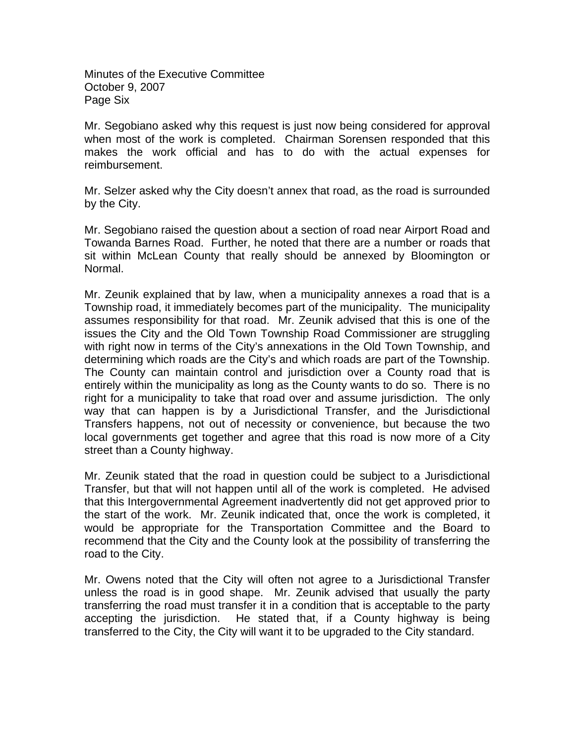Minutes of the Executive Committee October 9, 2007 Page Six

Mr. Segobiano asked why this request is just now being considered for approval when most of the work is completed. Chairman Sorensen responded that this makes the work official and has to do with the actual expenses for reimbursement.

Mr. Selzer asked why the City doesn't annex that road, as the road is surrounded by the City.

Mr. Segobiano raised the question about a section of road near Airport Road and Towanda Barnes Road. Further, he noted that there are a number or roads that sit within McLean County that really should be annexed by Bloomington or Normal.

Mr. Zeunik explained that by law, when a municipality annexes a road that is a Township road, it immediately becomes part of the municipality. The municipality assumes responsibility for that road. Mr. Zeunik advised that this is one of the issues the City and the Old Town Township Road Commissioner are struggling with right now in terms of the City's annexations in the Old Town Township, and determining which roads are the City's and which roads are part of the Township. The County can maintain control and jurisdiction over a County road that is entirely within the municipality as long as the County wants to do so. There is no right for a municipality to take that road over and assume jurisdiction. The only way that can happen is by a Jurisdictional Transfer, and the Jurisdictional Transfers happens, not out of necessity or convenience, but because the two local governments get together and agree that this road is now more of a City street than a County highway.

Mr. Zeunik stated that the road in question could be subject to a Jurisdictional Transfer, but that will not happen until all of the work is completed. He advised that this Intergovernmental Agreement inadvertently did not get approved prior to the start of the work. Mr. Zeunik indicated that, once the work is completed, it would be appropriate for the Transportation Committee and the Board to recommend that the City and the County look at the possibility of transferring the road to the City.

Mr. Owens noted that the City will often not agree to a Jurisdictional Transfer unless the road is in good shape. Mr. Zeunik advised that usually the party transferring the road must transfer it in a condition that is acceptable to the party accepting the jurisdiction. He stated that, if a County highway is being transferred to the City, the City will want it to be upgraded to the City standard.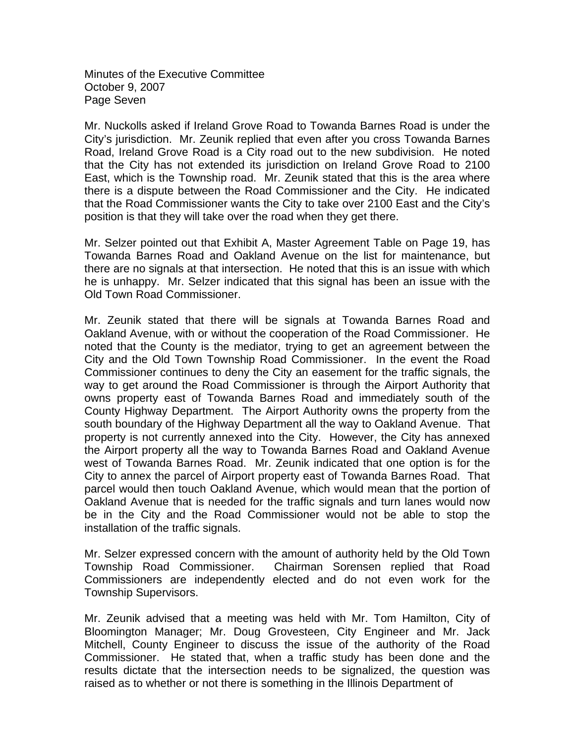Minutes of the Executive Committee October 9, 2007 Page Seven

Mr. Nuckolls asked if Ireland Grove Road to Towanda Barnes Road is under the City's jurisdiction. Mr. Zeunik replied that even after you cross Towanda Barnes Road, Ireland Grove Road is a City road out to the new subdivision. He noted that the City has not extended its jurisdiction on Ireland Grove Road to 2100 East, which is the Township road. Mr. Zeunik stated that this is the area where there is a dispute between the Road Commissioner and the City. He indicated that the Road Commissioner wants the City to take over 2100 East and the City's position is that they will take over the road when they get there.

Mr. Selzer pointed out that Exhibit A, Master Agreement Table on Page 19, has Towanda Barnes Road and Oakland Avenue on the list for maintenance, but there are no signals at that intersection. He noted that this is an issue with which he is unhappy. Mr. Selzer indicated that this signal has been an issue with the Old Town Road Commissioner.

Mr. Zeunik stated that there will be signals at Towanda Barnes Road and Oakland Avenue, with or without the cooperation of the Road Commissioner. He noted that the County is the mediator, trying to get an agreement between the City and the Old Town Township Road Commissioner. In the event the Road Commissioner continues to deny the City an easement for the traffic signals, the way to get around the Road Commissioner is through the Airport Authority that owns property east of Towanda Barnes Road and immediately south of the County Highway Department. The Airport Authority owns the property from the south boundary of the Highway Department all the way to Oakland Avenue. That property is not currently annexed into the City. However, the City has annexed the Airport property all the way to Towanda Barnes Road and Oakland Avenue west of Towanda Barnes Road. Mr. Zeunik indicated that one option is for the City to annex the parcel of Airport property east of Towanda Barnes Road. That parcel would then touch Oakland Avenue, which would mean that the portion of Oakland Avenue that is needed for the traffic signals and turn lanes would now be in the City and the Road Commissioner would not be able to stop the installation of the traffic signals.

Mr. Selzer expressed concern with the amount of authority held by the Old Town Township Road Commissioner. Chairman Sorensen replied that Road Commissioners are independently elected and do not even work for the Township Supervisors.

Mr. Zeunik advised that a meeting was held with Mr. Tom Hamilton, City of Bloomington Manager; Mr. Doug Grovesteen, City Engineer and Mr. Jack Mitchell, County Engineer to discuss the issue of the authority of the Road Commissioner. He stated that, when a traffic study has been done and the results dictate that the intersection needs to be signalized, the question was raised as to whether or not there is something in the Illinois Department of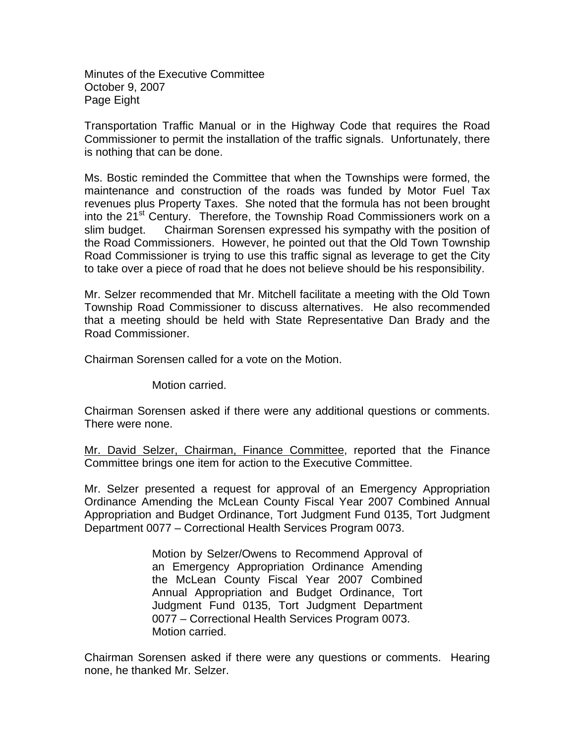Minutes of the Executive Committee October 9, 2007 Page Eight

Transportation Traffic Manual or in the Highway Code that requires the Road Commissioner to permit the installation of the traffic signals. Unfortunately, there is nothing that can be done.

Ms. Bostic reminded the Committee that when the Townships were formed, the maintenance and construction of the roads was funded by Motor Fuel Tax revenues plus Property Taxes. She noted that the formula has not been brought into the 21<sup>st</sup> Century. Therefore, the Township Road Commissioners work on a slim budget. Chairman Sorensen expressed his sympathy with the position of the Road Commissioners. However, he pointed out that the Old Town Township Road Commissioner is trying to use this traffic signal as leverage to get the City to take over a piece of road that he does not believe should be his responsibility.

Mr. Selzer recommended that Mr. Mitchell facilitate a meeting with the Old Town Township Road Commissioner to discuss alternatives. He also recommended that a meeting should be held with State Representative Dan Brady and the Road Commissioner.

Chairman Sorensen called for a vote on the Motion.

Motion carried.

Chairman Sorensen asked if there were any additional questions or comments. There were none.

Mr. David Selzer, Chairman, Finance Committee, reported that the Finance Committee brings one item for action to the Executive Committee.

Mr. Selzer presented a request for approval of an Emergency Appropriation Ordinance Amending the McLean County Fiscal Year 2007 Combined Annual Appropriation and Budget Ordinance, Tort Judgment Fund 0135, Tort Judgment Department 0077 – Correctional Health Services Program 0073.

> Motion by Selzer/Owens to Recommend Approval of an Emergency Appropriation Ordinance Amending the McLean County Fiscal Year 2007 Combined Annual Appropriation and Budget Ordinance, Tort Judgment Fund 0135, Tort Judgment Department 0077 – Correctional Health Services Program 0073. Motion carried.

Chairman Sorensen asked if there were any questions or comments. Hearing none, he thanked Mr. Selzer.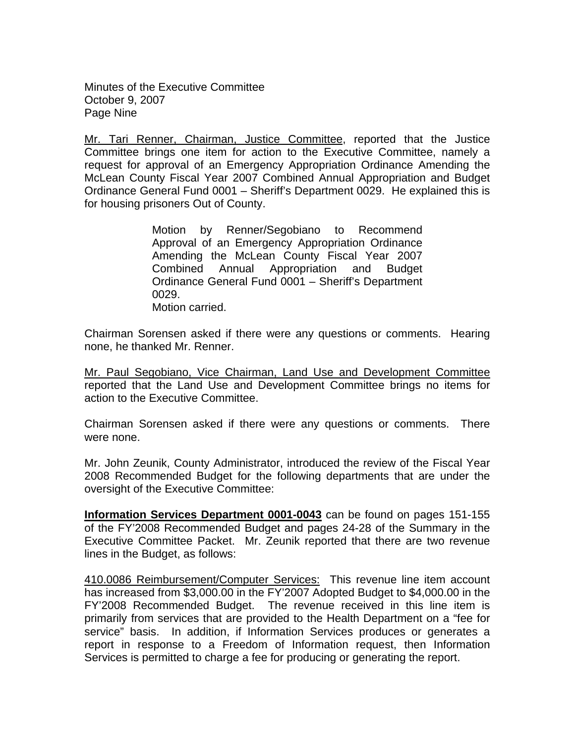Minutes of the Executive Committee October 9, 2007 Page Nine

Mr. Tari Renner, Chairman, Justice Committee, reported that the Justice Committee brings one item for action to the Executive Committee, namely a request for approval of an Emergency Appropriation Ordinance Amending the McLean County Fiscal Year 2007 Combined Annual Appropriation and Budget Ordinance General Fund 0001 – Sheriff's Department 0029. He explained this is for housing prisoners Out of County.

> Motion by Renner/Segobiano to Recommend Approval of an Emergency Appropriation Ordinance Amending the McLean County Fiscal Year 2007 Combined Annual Appropriation and Budget Ordinance General Fund 0001 – Sheriff's Department 0029. Motion carried.

Chairman Sorensen asked if there were any questions or comments. Hearing none, he thanked Mr. Renner.

Mr. Paul Segobiano, Vice Chairman, Land Use and Development Committee reported that the Land Use and Development Committee brings no items for action to the Executive Committee.

Chairman Sorensen asked if there were any questions or comments. There were none.

Mr. John Zeunik, County Administrator, introduced the review of the Fiscal Year 2008 Recommended Budget for the following departments that are under the oversight of the Executive Committee:

**Information Services Department 0001-0043** can be found on pages 151-155 of the FY'2008 Recommended Budget and pages 24-28 of the Summary in the Executive Committee Packet. Mr. Zeunik reported that there are two revenue lines in the Budget, as follows:

410.0086 Reimbursement/Computer Services: This revenue line item account has increased from \$3,000.00 in the FY'2007 Adopted Budget to \$4,000.00 in the FY'2008 Recommended Budget. The revenue received in this line item is primarily from services that are provided to the Health Department on a "fee for service" basis. In addition, if Information Services produces or generates a report in response to a Freedom of Information request, then Information Services is permitted to charge a fee for producing or generating the report.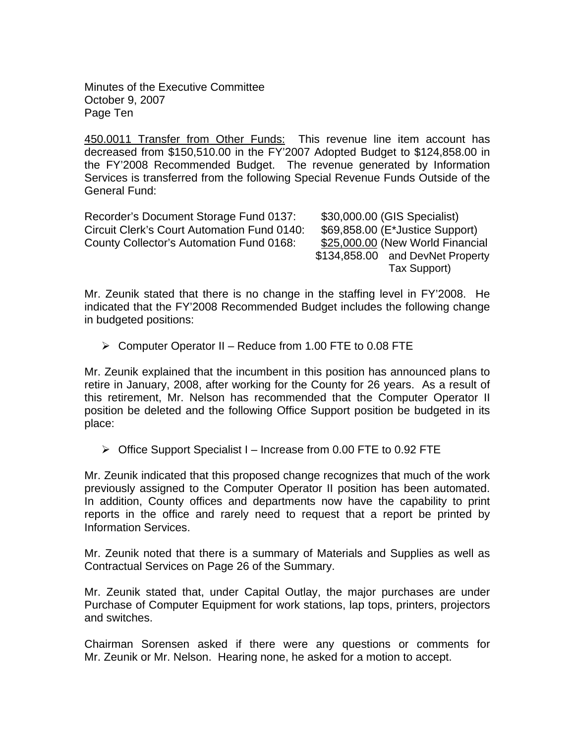Minutes of the Executive Committee October 9, 2007 Page Ten

450.0011 Transfer from Other Funds: This revenue line item account has decreased from \$150,510.00 in the FY'2007 Adopted Budget to \$124,858.00 in the FY'2008 Recommended Budget. The revenue generated by Information Services is transferred from the following Special Revenue Funds Outside of the General Fund:

Recorder's Document Storage Fund 0137: \$30,000.00 (GIS Specialist) Circuit Clerk's Court Automation Fund 0140: \$69,858.00 (E\*Justice Support) County Collector's Automation Fund 0168: \$25,000.00 (New World Financial

 \$134,858.00 and DevNet Property Tax Support)

Mr. Zeunik stated that there is no change in the staffing level in FY'2008. He indicated that the FY'2008 Recommended Budget includes the following change in budgeted positions:

¾ Computer Operator II – Reduce from 1.00 FTE to 0.08 FTE

Mr. Zeunik explained that the incumbent in this position has announced plans to retire in January, 2008, after working for the County for 26 years. As a result of this retirement, Mr. Nelson has recommended that the Computer Operator II position be deleted and the following Office Support position be budgeted in its place:

 $\triangleright$  Office Support Specialist I – Increase from 0.00 FTE to 0.92 FTE

Mr. Zeunik indicated that this proposed change recognizes that much of the work previously assigned to the Computer Operator II position has been automated. In addition, County offices and departments now have the capability to print reports in the office and rarely need to request that a report be printed by Information Services.

Mr. Zeunik noted that there is a summary of Materials and Supplies as well as Contractual Services on Page 26 of the Summary.

Mr. Zeunik stated that, under Capital Outlay, the major purchases are under Purchase of Computer Equipment for work stations, lap tops, printers, projectors and switches.

Chairman Sorensen asked if there were any questions or comments for Mr. Zeunik or Mr. Nelson. Hearing none, he asked for a motion to accept.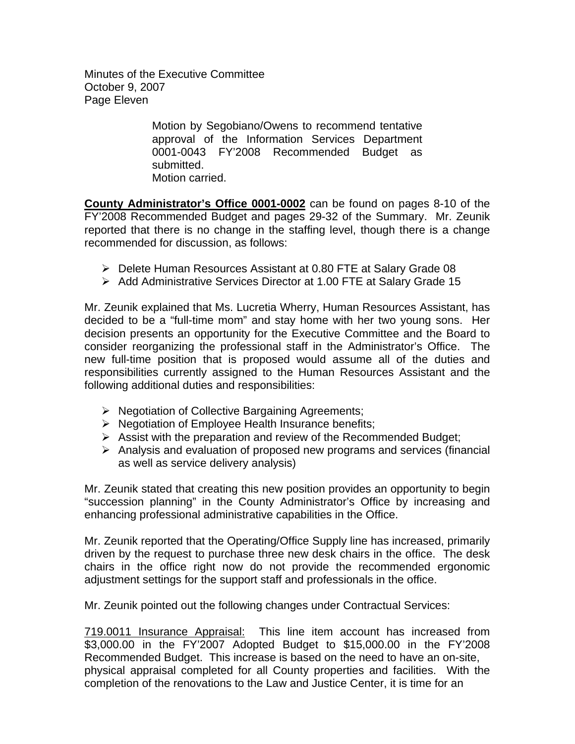Minutes of the Executive Committee October 9, 2007 Page Eleven

> Motion by Segobiano/Owens to recommend tentative approval of the Information Services Department 0001-0043 FY'2008 Recommended Budget as submitted. Motion carried.

**County Administrator's Office 0001-0002** can be found on pages 8-10 of the FY'2008 Recommended Budget and pages 29-32 of the Summary. Mr. Zeunik reported that there is no change in the staffing level, though there is a change recommended for discussion, as follows:

- ¾ Delete Human Resources Assistant at 0.80 FTE at Salary Grade 08
- ¾ Add Administrative Services Director at 1.00 FTE at Salary Grade 15

Mr. Zeunik explained that Ms. Lucretia Wherry, Human Resources Assistant, has decided to be a "full-time mom" and stay home with her two young sons. Her decision presents an opportunity for the Executive Committee and the Board to consider reorganizing the professional staff in the Administrator's Office. The new full-time position that is proposed would assume all of the duties and responsibilities currently assigned to the Human Resources Assistant and the following additional duties and responsibilities:

- ¾ Negotiation of Collective Bargaining Agreements;
- ¾ Negotiation of Employee Health Insurance benefits;
- $\triangleright$  Assist with the preparation and review of the Recommended Budget;
- $\triangleright$  Analysis and evaluation of proposed new programs and services (financial as well as service delivery analysis)

Mr. Zeunik stated that creating this new position provides an opportunity to begin "succession planning" in the County Administrator's Office by increasing and enhancing professional administrative capabilities in the Office.

Mr. Zeunik reported that the Operating/Office Supply line has increased, primarily driven by the request to purchase three new desk chairs in the office. The desk chairs in the office right now do not provide the recommended ergonomic adjustment settings for the support staff and professionals in the office.

Mr. Zeunik pointed out the following changes under Contractual Services:

719.0011 Insurance Appraisal: This line item account has increased from \$3,000.00 in the FY'2007 Adopted Budget to \$15,000.00 in the FY'2008 Recommended Budget. This increase is based on the need to have an on-site, physical appraisal completed for all County properties and facilities. With the completion of the renovations to the Law and Justice Center, it is time for an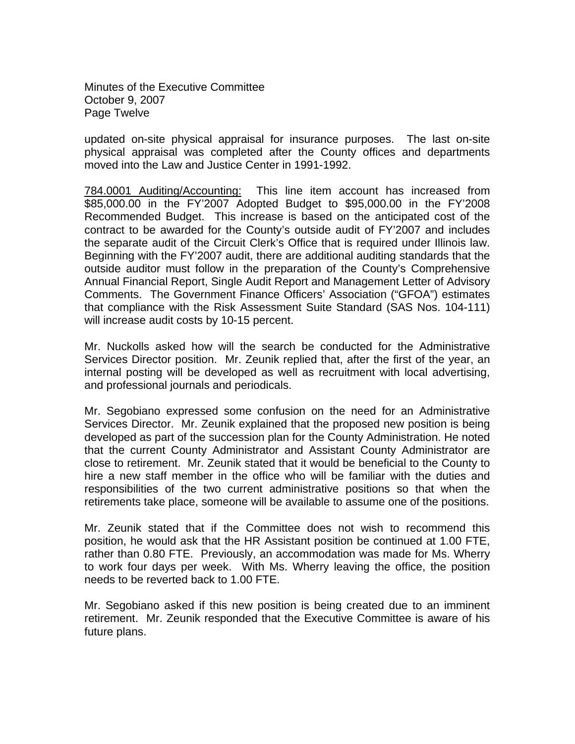Minutes of the Executive Committee October 9, 2007 Page Twelve

updated on-site physical appraisal for insurance purposes. The last on-site physical appraisal was completed after the County offices and departments moved into the Law and Justice Center in 1991-1992.

784.0001 Auditing/Accounting: This line item account has increased from \$85,000.00 in the FY'2007 Adopted Budget to \$95,000.00 in the FY'2008 Recommended Budget. This increase is based on the anticipated cost of the contract to be awarded for the County's outside audit of FY'2007 and includes the separate audit of the Circuit Clerk's Office that is required under Illinois law. Beginning with the FY'2007 audit, there are additional auditing standards that the outside auditor must follow in the preparation of the County's Comprehensive Annual Financial Report, Single Audit Report and Management Letter of Advisory Comments. The Government Finance Officers' Association ("GFOA") estimates that compliance with the Risk Assessment Suite Standard (SAS Nos. 104-111) will increase audit costs by 10-15 percent.

Mr. Nuckolls asked how will the search be conducted for the Administrative Services Director position. Mr. Zeunik replied that, after the first of the year, an internal posting will be developed as well as recruitment with local advertising, and professional journals and periodicals.

Mr. Segobiano expressed some confusion on the need for an Administrative Services Director. Mr. Zeunik explained that the proposed new position is being developed as part of the succession plan for the County Administration. He noted that the current County Administrator and Assistant County Administrator are close to retirement. Mr. Zeunik stated that it would be beneficial to the County to hire a new staff member in the office who will be familiar with the duties and responsibilities of the two current administrative positions so that when the retirements take place, someone will be available to assume one of the positions.

Mr. Zeunik stated that if the Committee does not wish to recommend this position, he would ask that the HR Assistant position be continued at 1.00 FTE, rather than 0.80 FTE. Previously, an accommodation was made for Ms. Wherry to work four days per week. With Ms. Wherry leaving the office, the position needs to be reverted back to 1.00 FTE.

Mr. Segobiano asked if this new position is being created due to an imminent retirement. Mr. Zeunik responded that the Executive Committee is aware of his future plans.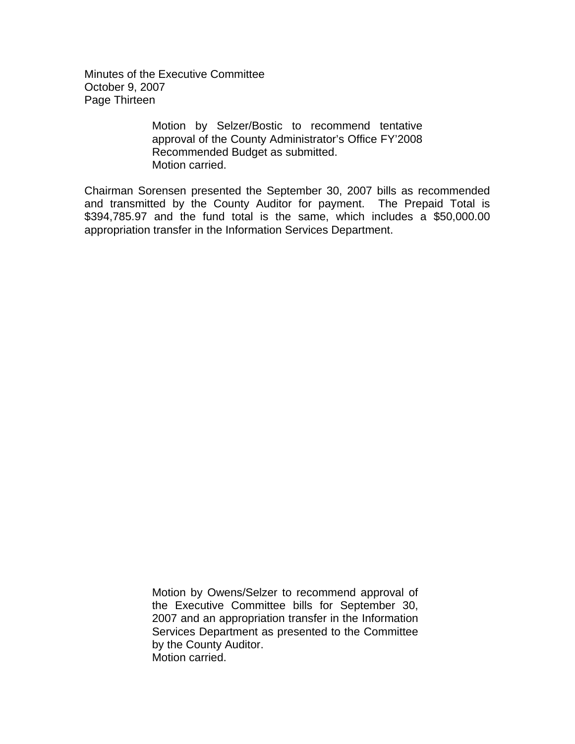Minutes of the Executive Committee October 9, 2007 Page Thirteen

> Motion by Selzer/Bostic to recommend tentative approval of the County Administrator's Office FY'2008 Recommended Budget as submitted. Motion carried.

Chairman Sorensen presented the September 30, 2007 bills as recommended and transmitted by the County Auditor for payment. The Prepaid Total is \$394,785.97 and the fund total is the same, which includes a \$50,000.00 appropriation transfer in the Information Services Department.

> Motion by Owens/Selzer to recommend approval of the Executive Committee bills for September 30, 2007 and an appropriation transfer in the Information Services Department as presented to the Committee by the County Auditor. Motion carried.